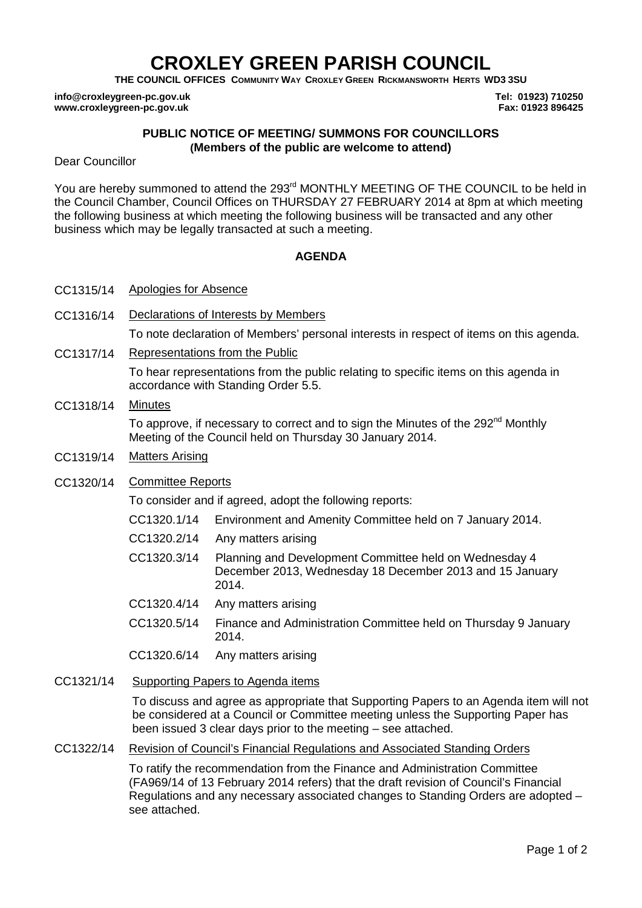# **CROXLEY GREEN PARISH COUNCIL**

**THE COUNCIL OFFICES COMMUNITY WAY CROXLEY GREEN RICKMANSWORTH HERTS WD3 3SU**

**info@croxleygreen-pc.gov.uk www.croxleygreen-pc.gov.uk**

**Tel: 01923) 710250 Fax: 01923 896425**

## **PUBLIC NOTICE OF MEETING/ SUMMONS FOR COUNCILLORS (Members of the public are welcome to attend)**

Dear Councillor

You are hereby summoned to attend the 293<sup>rd</sup> MONTHLY MEETING OF THE COUNCIL to be held in the Council Chamber, Council Offices on THURSDAY 27 FEBRUARY 2014 at 8pm at which meeting the following business at which meeting the following business will be transacted and any other business which may be legally transacted at such a meeting.

## **AGENDA**

- CC1315/14 Apologies for Absence
- CC1316/14 Declarations of Interests by Members To note declaration of Members' personal interests in respect of items on this agenda.
- CC1317/14 Representations from the Public

To hear representations from the public relating to specific items on this agenda in accordance with Standing Order 5.5.

CC1318/14 Minutes

To approve, if necessary to correct and to sign the Minutes of the 292<sup>nd</sup> Monthly Meeting of the Council held on Thursday 30 January 2014.

CC1319/14 Matters Arising

#### CC1320/14 Committee Reports

To consider and if agreed, adopt the following reports:

- CC1320.1/14 Environment and Amenity Committee held on 7 January 2014.
- CC1320.2/14 Any matters arising
- CC1320.3/14 Planning and Development Committee held on Wednesday 4 December 2013, Wednesday 18 December 2013 and 15 January 2014.
- CC1320.4/14 Any matters arising
- CC1320.5/14 Finance and Administration Committee held on Thursday 9 January 2014.
- CC1320.6/14 Any matters arising
- CC1321/14 Supporting Papers to Agenda items

To discuss and agree as appropriate that Supporting Papers to an Agenda item will not be considered at a Council or Committee meeting unless the Supporting Paper has been issued 3 clear days prior to the meeting – see attached.

## CC1322/14 Revision of Council's Financial Regulations and Associated Standing Orders

To ratify the recommendation from the Finance and Administration Committee (FA969/14 of 13 February 2014 refers) that the draft revision of Council's Financial Regulations and any necessary associated changes to Standing Orders are adopted – see attached.